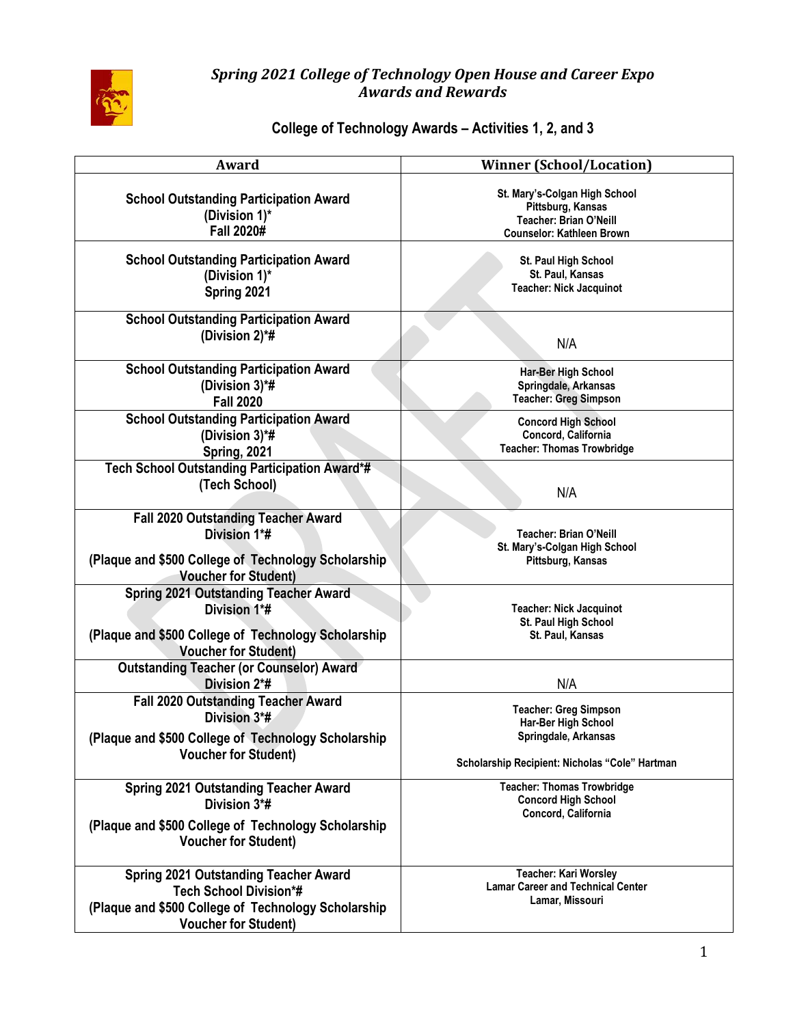

#### *Spring 2021 College of Technology Open House and Career Expo Awards and Rewards*

# **College of Technology Awards – Activities 1, 2, and 3**

| Award                                                                                                                                                               | <b>Winner (School/Location)</b>                                                                                               |
|---------------------------------------------------------------------------------------------------------------------------------------------------------------------|-------------------------------------------------------------------------------------------------------------------------------|
| <b>School Outstanding Participation Award</b><br>(Division 1)*<br><b>Fall 2020#</b>                                                                                 | St. Mary's-Colgan High School<br>Pittsburg, Kansas<br>Teacher: Brian O'Neill<br><b>Counselor: Kathleen Brown</b>              |
| <b>School Outstanding Participation Award</b><br>(Division 1)*<br>Spring 2021                                                                                       | St. Paul High School<br>St. Paul, Kansas<br><b>Teacher: Nick Jacquinot</b>                                                    |
| <b>School Outstanding Participation Award</b><br>(Division 2)*#                                                                                                     | N/A                                                                                                                           |
| <b>School Outstanding Participation Award</b><br>(Division 3)*#<br><b>Fall 2020</b>                                                                                 | Har-Ber High School<br>Springdale, Arkansas<br><b>Teacher: Greg Simpson</b>                                                   |
| <b>School Outstanding Participation Award</b><br>(Division 3)*#<br>Spring, 2021                                                                                     | <b>Concord High School</b><br>Concord, California<br><b>Teacher: Thomas Trowbridge</b>                                        |
| Tech School Outstanding Participation Award*#<br>(Tech School)                                                                                                      | N/A                                                                                                                           |
| <b>Fall 2020 Outstanding Teacher Award</b><br>Division 1*#<br>(Plaque and \$500 College of Technology Scholarship<br><b>Voucher for Student)</b>                    | Teacher: Brian O'Neill<br>St. Mary's-Colgan High School<br>Pittsburg, Kansas                                                  |
| <b>Spring 2021 Outstanding Teacher Award</b><br>Division 1*#<br>(Plaque and \$500 College of Technology Scholarship<br><b>Voucher for Student)</b>                  | <b>Teacher: Nick Jacquinot</b><br>St. Paul High School<br>St. Paul, Kansas                                                    |
| <b>Outstanding Teacher (or Counselor) Award</b><br>Division 2*#                                                                                                     | N/A                                                                                                                           |
| <b>Fall 2020 Outstanding Teacher Award</b><br>Division 3*#<br>(Plaque and \$500 College of Technology Scholarship<br><b>Voucher for Student)</b>                    | <b>Teacher: Greg Simpson</b><br>Har-Ber High School<br>Springdale, Arkansas<br>Scholarship Recipient: Nicholas "Cole" Hartman |
| <b>Spring 2021 Outstanding Teacher Award</b><br>Division 3*#<br>(Plaque and \$500 College of Technology Scholarship<br><b>Voucher for Student)</b>                  | <b>Teacher: Thomas Trowbridge</b><br><b>Concord High School</b><br>Concord, California                                        |
| <b>Spring 2021 Outstanding Teacher Award</b><br><b>Tech School Division*#</b><br>(Plaque and \$500 College of Technology Scholarship<br><b>Voucher for Student)</b> | Teacher: Kari Worsley<br><b>Lamar Career and Technical Center</b><br>Lamar, Missouri                                          |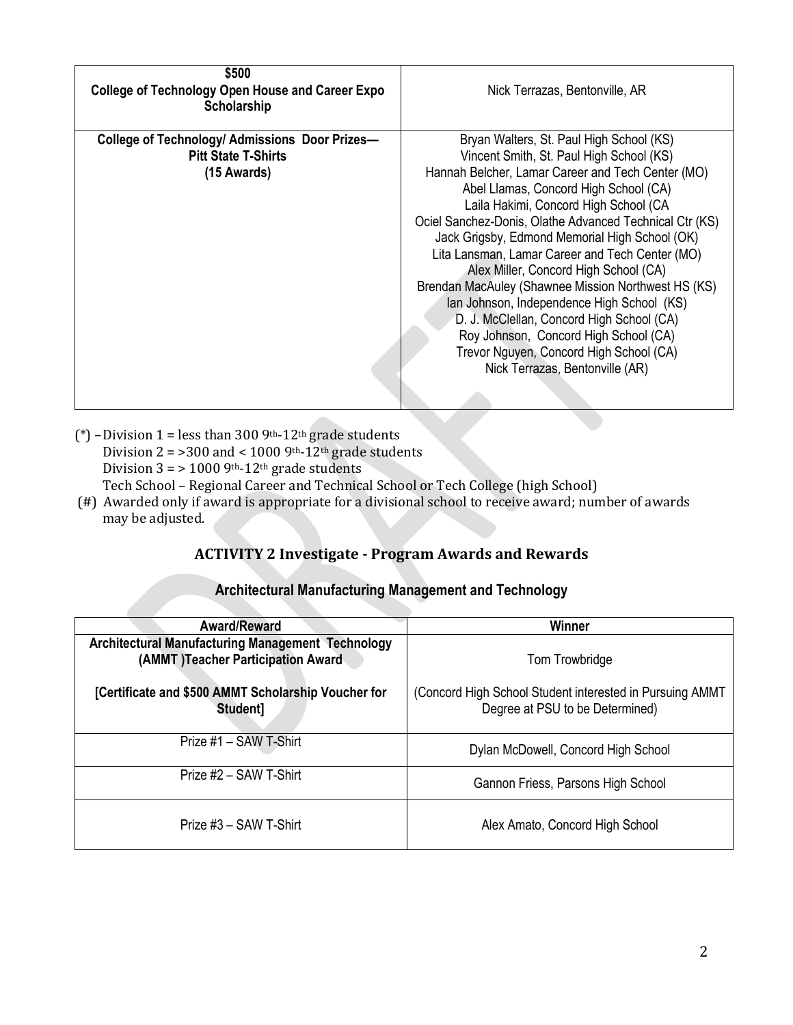| \$500<br><b>College of Technology Open House and Career Expo</b><br><b>Scholarship</b>        | Nick Terrazas, Bentonville, AR                                                                                                                                                                                                                                                                                                                                                                                                                                                                                                                                                                                                                                                                                |
|-----------------------------------------------------------------------------------------------|---------------------------------------------------------------------------------------------------------------------------------------------------------------------------------------------------------------------------------------------------------------------------------------------------------------------------------------------------------------------------------------------------------------------------------------------------------------------------------------------------------------------------------------------------------------------------------------------------------------------------------------------------------------------------------------------------------------|
| College of Technology/ Admissions Door Prizes-<br><b>Pitt State T-Shirts</b><br>$(15$ Awards) | Bryan Walters, St. Paul High School (KS)<br>Vincent Smith, St. Paul High School (KS)<br>Hannah Belcher, Lamar Career and Tech Center (MO)<br>Abel Llamas, Concord High School (CA)<br>Laila Hakimi, Concord High School (CA<br>Ociel Sanchez-Donis, Olathe Advanced Technical Ctr (KS)<br>Jack Grigsby, Edmond Memorial High School (OK)<br>Lita Lansman, Lamar Career and Tech Center (MO)<br>Alex Miller, Concord High School (CA)<br>Brendan MacAuley (Shawnee Mission Northwest HS (KS)<br>Ian Johnson, Independence High School (KS)<br>D. J. McClellan, Concord High School (CA)<br>Roy Johnson, Concord High School (CA)<br>Trevor Nguyen, Concord High School (CA)<br>Nick Terrazas, Bentonville (AR) |

- (\*) Division 1 = less than 300 9th-12<sup>th</sup> grade students Division  $2 = 300$  and < 1000 9<sup>th</sup>-12<sup>th</sup> grade students Division  $3 = 10009$ <sup>th</sup>-12<sup>th</sup> grade students Tech School – Regional Career and Technical School or Tech College (high School) (#) Awarded only if award is appropriate for a divisional school to receive award; number of awards
- may be adjusted.

## **ACTIVITY 2 Investigate - Program Awards and Rewards**

|  |  |  |  | <b>Architectural Manufacturing Management and Technology</b> |  |
|--|--|--|--|--------------------------------------------------------------|--|
|--|--|--|--|--------------------------------------------------------------|--|

| <b>Award/Reward</b>                                                                     | Winner                                                                                       |
|-----------------------------------------------------------------------------------------|----------------------------------------------------------------------------------------------|
| Architectural Manufacturing Management Technology<br>(AMMT) Teacher Participation Award | Tom Trowbridge                                                                               |
| [Certificate and \$500 AMMT Scholarship Voucher for<br>Student]                         | (Concord High School Student interested in Pursuing AMMT)<br>Degree at PSU to be Determined) |
| Prize #1 - SAW T-Shirt                                                                  | Dylan McDowell, Concord High School                                                          |
| Prize #2 – SAW T-Shirt                                                                  | Gannon Friess, Parsons High School                                                           |
| Prize #3 – SAW T-Shirt                                                                  | Alex Amato, Concord High School                                                              |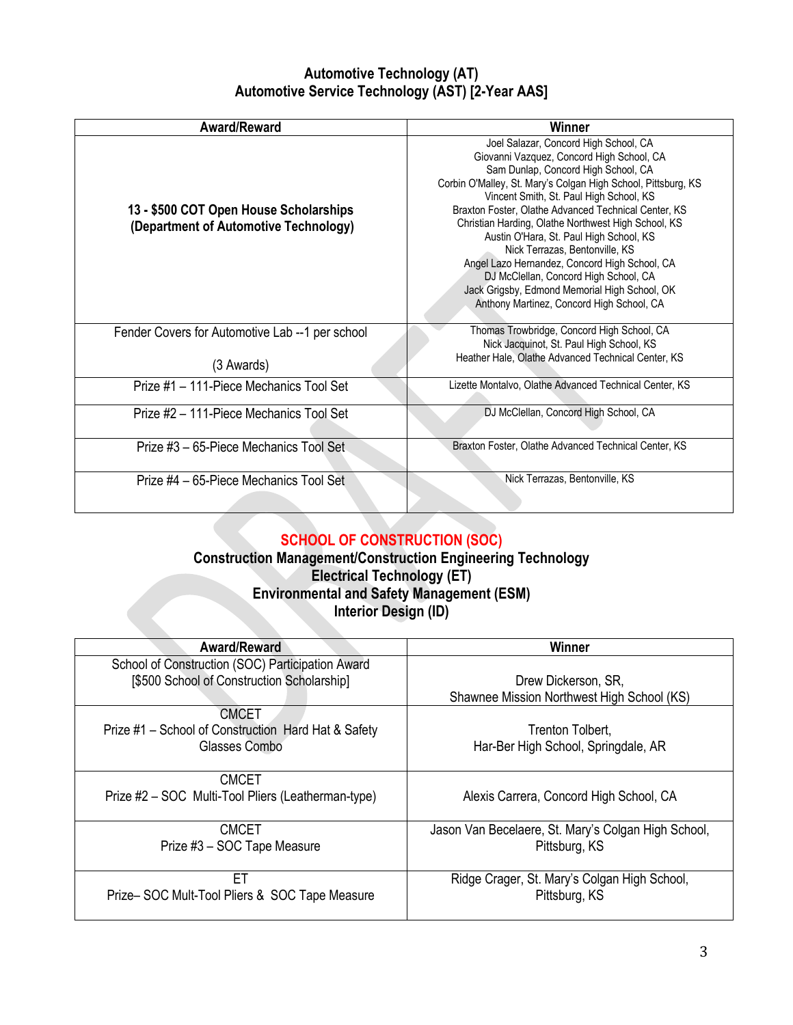## **Automotive Technology (AT) Automotive Service Technology (AST) [2-Year AAS]**

| Award/Reward                                                                    | Winner                                                                                                                                                                                                                                                                                                                                                                                                                                                                                                                                                                                                                    |
|---------------------------------------------------------------------------------|---------------------------------------------------------------------------------------------------------------------------------------------------------------------------------------------------------------------------------------------------------------------------------------------------------------------------------------------------------------------------------------------------------------------------------------------------------------------------------------------------------------------------------------------------------------------------------------------------------------------------|
| 13 - \$500 COT Open House Scholarships<br>(Department of Automotive Technology) | Joel Salazar, Concord High School, CA<br>Giovanni Vazquez, Concord High School, CA<br>Sam Dunlap, Concord High School, CA<br>Corbin O'Malley, St. Mary's Colgan High School, Pittsburg, KS<br>Vincent Smith, St. Paul High School, KS<br>Braxton Foster, Olathe Advanced Technical Center, KS<br>Christian Harding, Olathe Northwest High School, KS<br>Austin O'Hara, St. Paul High School, KS<br>Nick Terrazas, Bentonville, KS<br>Angel Lazo Hernandez, Concord High School, CA<br>DJ McClellan, Concord High School, CA<br>Jack Grigsby, Edmond Memorial High School, OK<br>Anthony Martinez, Concord High School, CA |
| Fender Covers for Automotive Lab --1 per school<br>(3 Awards)                   | Thomas Trowbridge, Concord High School, CA<br>Nick Jacquinot, St. Paul High School, KS<br>Heather Hale, Olathe Advanced Technical Center, KS                                                                                                                                                                                                                                                                                                                                                                                                                                                                              |
|                                                                                 |                                                                                                                                                                                                                                                                                                                                                                                                                                                                                                                                                                                                                           |
| Prize #1 – 111-Piece Mechanics Tool Set                                         | Lizette Montalvo, Olathe Advanced Technical Center, KS                                                                                                                                                                                                                                                                                                                                                                                                                                                                                                                                                                    |
| Prize #2 - 111-Piece Mechanics Tool Set                                         | DJ McClellan, Concord High School, CA                                                                                                                                                                                                                                                                                                                                                                                                                                                                                                                                                                                     |
| Prize #3 – 65-Piece Mechanics Tool Set                                          | Braxton Foster, Olathe Advanced Technical Center, KS                                                                                                                                                                                                                                                                                                                                                                                                                                                                                                                                                                      |
| Prize #4 - 65-Piece Mechanics Tool Set                                          | Nick Terrazas, Bentonville, KS                                                                                                                                                                                                                                                                                                                                                                                                                                                                                                                                                                                            |

# **SCHOOL OF CONSTRUCTION (SOC)**

### **Construction Management/Construction Engineering Technology Electrical Technology (ET) Environmental and Safety Management (ESM) Interior Design (ID)**

| Award/Reward                                        | Winner                                              |
|-----------------------------------------------------|-----------------------------------------------------|
| School of Construction (SOC) Participation Award    |                                                     |
| [\$500 School of Construction Scholarship]          | Drew Dickerson, SR,                                 |
|                                                     | Shawnee Mission Northwest High School (KS)          |
| CMCET                                               |                                                     |
| Prize #1 - School of Construction Hard Hat & Safety | Trenton Tolbert,                                    |
| Glasses Combo                                       | Har-Ber High School, Springdale, AR                 |
|                                                     |                                                     |
| <b>CMCET</b>                                        |                                                     |
| Prize #2 – SOC Multi-Tool Pliers (Leatherman-type)  | Alexis Carrera, Concord High School, CA             |
|                                                     |                                                     |
| <b>CMCET</b>                                        | Jason Van Becelaere, St. Mary's Colgan High School, |
| Prize #3 - SOC Tape Measure                         | Pittsburg, KS                                       |
|                                                     |                                                     |
| FT                                                  | Ridge Crager, St. Mary's Colgan High School,        |
| Prize-SOC Mult-Tool Pliers & SOC Tape Measure       | Pittsburg, KS                                       |
|                                                     |                                                     |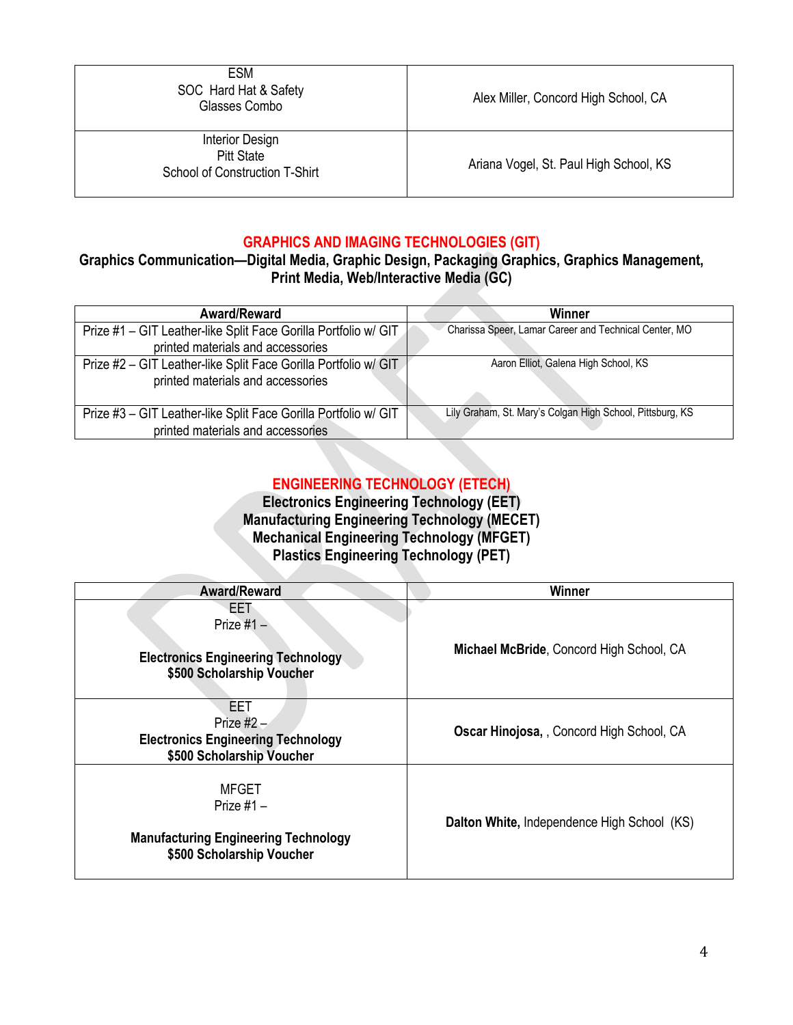| <b>ESM</b><br>SOC Hard Hat & Safety<br>Glasses Combo                          | Alex Miller, Concord High School, CA   |
|-------------------------------------------------------------------------------|----------------------------------------|
| Interior Design<br><b>Pitt State</b><br><b>School of Construction T-Shirt</b> | Ariana Vogel, St. Paul High School, KS |

#### **GRAPHICS AND IMAGING TECHNOLOGIES (GIT)**

## **Graphics Communication—Digital Media, Graphic Design, Packaging Graphics, Graphics Management, Print Media, Web/Interactive Media (GC)**

| <b>Award/Reward</b>                                             | Winner                                                    |
|-----------------------------------------------------------------|-----------------------------------------------------------|
| Prize #1 - GIT Leather-like Split Face Gorilla Portfolio w/ GIT | Charissa Speer, Lamar Career and Technical Center, MO     |
| printed materials and accessories                               |                                                           |
| Prize #2 - GIT Leather-like Split Face Gorilla Portfolio w/ GIT | Aaron Elliot, Galena High School, KS                      |
| printed materials and accessories                               |                                                           |
|                                                                 |                                                           |
| Prize #3 - GIT Leather-like Split Face Gorilla Portfolio w/ GIT | Lily Graham, St. Mary's Colgan High School, Pittsburg, KS |
| printed materials and accessories                               |                                                           |

## **ENGINEERING TECHNOLOGY (ETECH)**

**Electronics Engineering Technology (EET) Manufacturing Engineering Technology (MECET) Mechanical Engineering Technology (MFGET) Plastics Engineering Technology (PET)**

| <b>Award/Reward</b>                                                                                      | Winner                                      |
|----------------------------------------------------------------------------------------------------------|---------------------------------------------|
| EET<br>Prize $#1 -$<br><b>Electronics Engineering Technology</b><br>\$500 Scholarship Voucher            | Michael McBride, Concord High School, CA    |
| EET<br>Prize $#2 -$<br><b>Electronics Engineering Technology</b><br>\$500 Scholarship Voucher            | Oscar Hinojosa, , Concord High School, CA   |
| <b>MFGET</b><br>Prize $#1 -$<br><b>Manufacturing Engineering Technology</b><br>\$500 Scholarship Voucher | Dalton White, Independence High School (KS) |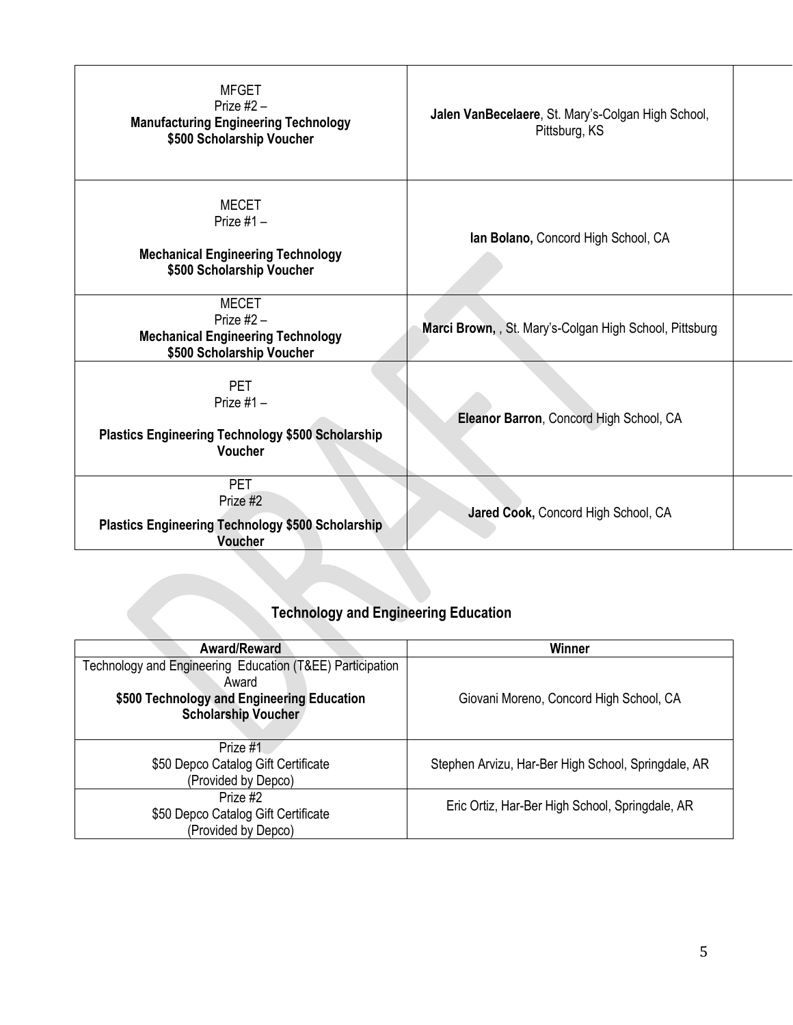| <b>MFGET</b><br>Prize $#2 -$<br><b>Manufacturing Engineering Technology</b><br>\$500 Scholarship Voucher | Jalen VanBecelaere, St. Mary's-Colgan High School,<br>Pittsburg, KS |  |
|----------------------------------------------------------------------------------------------------------|---------------------------------------------------------------------|--|
| MECET<br>Prize $#1 -$<br><b>Mechanical Engineering Technology</b><br>\$500 Scholarship Voucher           | Ian Bolano, Concord High School, CA                                 |  |
| <b>MECET</b><br>Prize $#2 -$<br><b>Mechanical Engineering Technology</b><br>\$500 Scholarship Voucher    | Marci Brown, , St. Mary's-Colgan High School, Pittsburg             |  |
| <b>PET</b><br>Prize $#1 -$<br><b>Plastics Engineering Technology \$500 Scholarship</b><br><b>Voucher</b> | Eleanor Barron, Concord High School, CA                             |  |
| <b>PET</b><br>Prize #2<br><b>Plastics Engineering Technology \$500 Scholarship</b><br><b>Voucher</b>     | Jared Cook, Concord High School, CA                                 |  |

# **Technology and Engineering Education**

| Award/Reward                                                       | Winner                                              |
|--------------------------------------------------------------------|-----------------------------------------------------|
| Technology and Engineering Education (T&EE) Participation<br>Award |                                                     |
| \$500 Technology and Engineering Education                         | Giovani Moreno, Concord High School, CA             |
| <b>Scholarship Voucher</b>                                         |                                                     |
|                                                                    |                                                     |
| Prize #1                                                           |                                                     |
| \$50 Depco Catalog Gift Certificate                                | Stephen Arvizu, Har-Ber High School, Springdale, AR |
| (Provided by Depco)                                                |                                                     |
| Prize #2                                                           |                                                     |
| \$50 Depco Catalog Gift Certificate                                | Eric Ortiz, Har-Ber High School, Springdale, AR     |
| (Provided by Depco)                                                |                                                     |